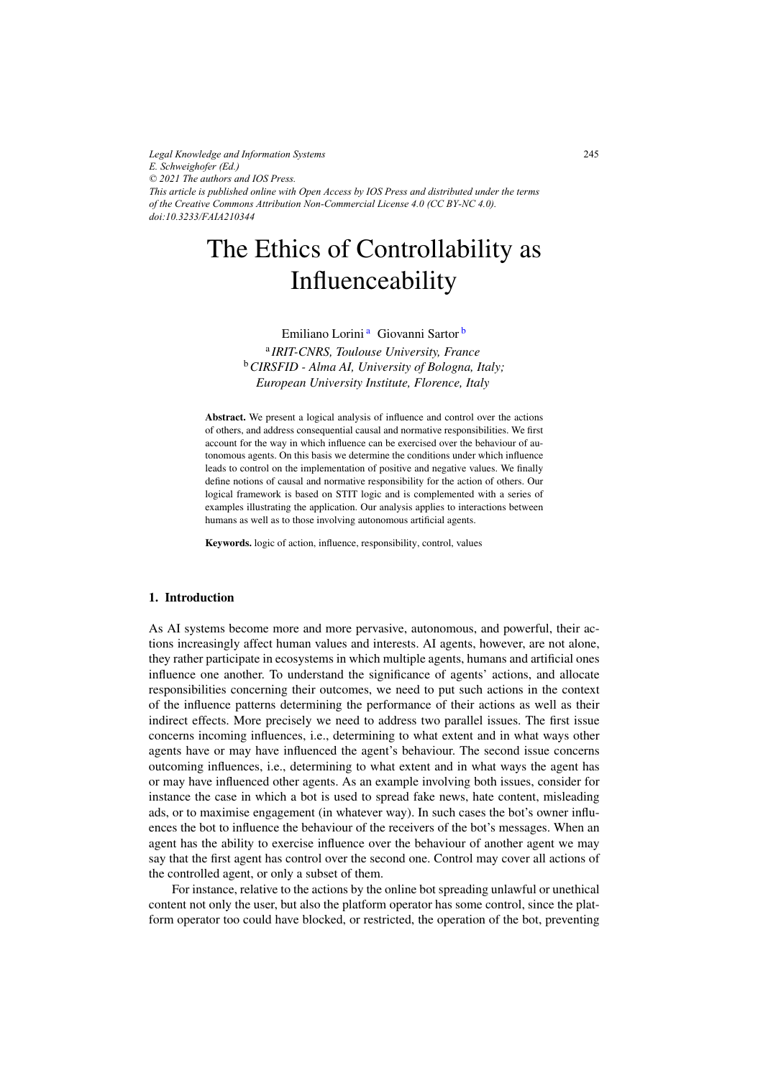*Legal Knowledge and Information Systems E. Schweighofer (Ed.) © 2021 The authors and IOS Press. This article is published online with Open Access by IOS Press and distributed under the terms of the Creative Commons Attribution Non-Commercial License 4.0 (CC BY-NC 4.0). doi:10.3233/FAIA210344*

# The Ethics of Controllability as Influenceability

Emiliano Lorini<sup>a</sup> Giovanni Sartor<sup>b</sup>

<sup>a</sup> *IRIT-CNRS, Toulouse University, France* <sup>b</sup>*CIRSFID - Alma AI, University of Bologna, Italy; European University Institute, Florence, Italy*

Abstract. We present a logical analysis of influence and control over the actions of others, and address consequential causal and normative responsibilities. We first account for the way in which influence can be exercised over the behaviour of autonomous agents. On this basis we determine the conditions under which influence leads to control on the implementation of positive and negative values. We finally define notions of causal and normative responsibility for the action of others. Our logical framework is based on STIT logic and is complemented with a series of examples illustrating the application. Our analysis applies to interactions between humans as well as to those involving autonomous artificial agents.

Keywords. logic of action, influence, responsibility, control, values

# 1. Introduction

As AI systems become more and more pervasive, autonomous, and powerful, their actions increasingly affect human values and interests. AI agents, however, are not alone, they rather participate in ecosystems in which multiple agents, humans and artificial ones influence one another. To understand the significance of agents' actions, and allocate responsibilities concerning their outcomes, we need to put such actions in the context of the influence patterns determining the performance of their actions as well as their indirect effects. More precisely we need to address two parallel issues. The first issue concerns incoming influences, i.e., determining to what extent and in what ways other agents have or may have influenced the agent's behaviour. The second issue concerns outcoming influences, i.e., determining to what extent and in what ways the agent has or may have influenced other agents. As an example involving both issues, consider for instance the case in which a bot is used to spread fake news, hate content, misleading ads, or to maximise engagement (in whatever way). In such cases the bot's owner influences the bot to influence the behaviour of the receivers of the bot's messages. When an agent has the ability to exercise influence over the behaviour of another agent we may say that the first agent has control over the second one. Control may cover all actions of the controlled agent, or only a subset of them.

For instance, relative to the actions by the online bot spreading unlawful or unethical content not only the user, but also the platform operator has some control, since the platform operator too could have blocked, or restricted, the operation of the bot, preventing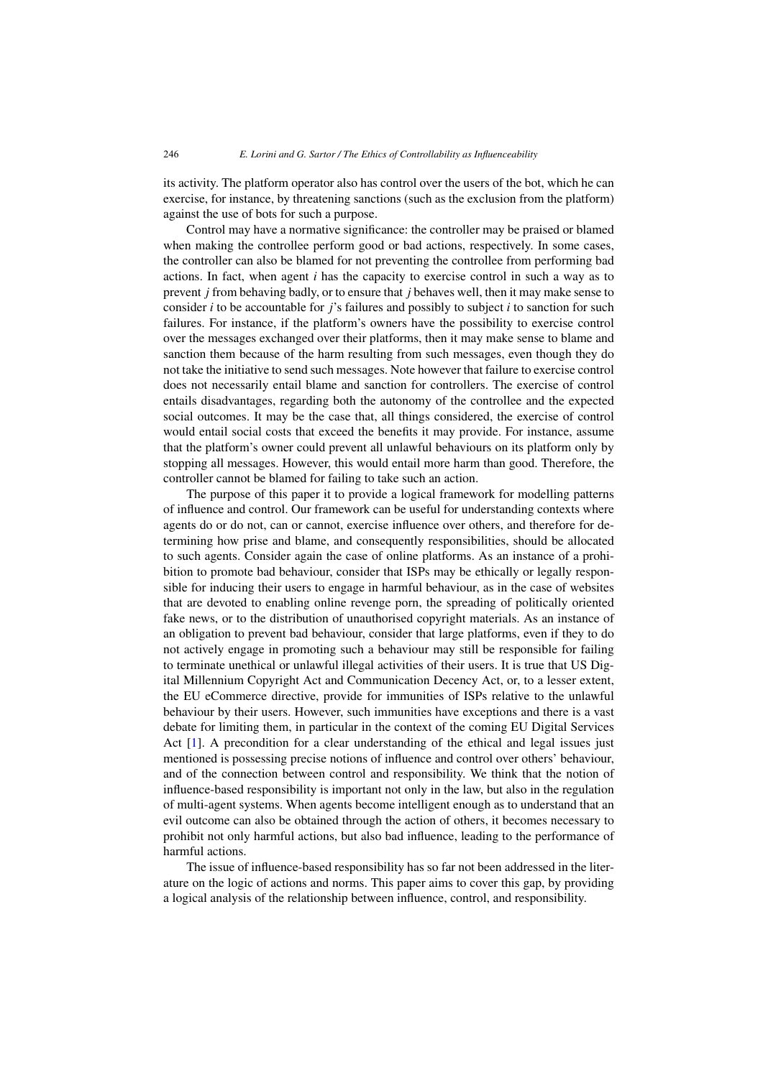its activity. The platform operator also has control over the users of the bot, which he can exercise, for instance, by threatening sanctions (such as the exclusion from the platform) against the use of bots for such a purpose.

Control may have a normative significance: the controller may be praised or blamed when making the controllee perform good or bad actions, respectively. In some cases, the controller can also be blamed for not preventing the controllee from performing bad actions. In fact, when agent *i* has the capacity to exercise control in such a way as to prevent *j* from behaving badly, or to ensure that *j* behaves well, then it may make sense to consider *i* to be accountable for *j*'s failures and possibly to subject *i* to sanction for such failures. For instance, if the platform's owners have the possibility to exercise control over the messages exchanged over their platforms, then it may make sense to blame and sanction them because of the harm resulting from such messages, even though they do not take the initiative to send such messages. Note however that failure to exercise control does not necessarily entail blame and sanction for controllers. The exercise of control entails disadvantages, regarding both the autonomy of the controllee and the expected social outcomes. It may be the case that, all things considered, the exercise of control would entail social costs that exceed the benefits it may provide. For instance, assume that the platform's owner could prevent all unlawful behaviours on its platform only by stopping all messages. However, this would entail more harm than good. Therefore, the controller cannot be blamed for failing to take such an action.

The purpose of this paper it to provide a logical framework for modelling patterns of influence and control. Our framework can be useful for understanding contexts where agents do or do not, can or cannot, exercise influence over others, and therefore for determining how prise and blame, and consequently responsibilities, should be allocated to such agents. Consider again the case of online platforms. As an instance of a prohibition to promote bad behaviour, consider that ISPs may be ethically or legally responsible for inducing their users to engage in harmful behaviour, as in the case of websites that are devoted to enabling online revenge porn, the spreading of politically oriented fake news, or to the distribution of unauthorised copyright materials. As an instance of an obligation to prevent bad behaviour, consider that large platforms, even if they to do not actively engage in promoting such a behaviour may still be responsible for failing to terminate unethical or unlawful illegal activities of their users. It is true that US Digital Millennium Copyright Act and Communication Decency Act, or, to a lesser extent, the EU eCommerce directive, provide for immunities of ISPs relative to the unlawful behaviour by their users. However, such immunities have exceptions and there is a vast debate for limiting them, in particular in the context of the coming EU Digital Services Act  $[1]$ . A precondition for a clear understanding of the ethical and legal issues just mentioned is possessing precise notions of influence and control over others' behaviour, and of the connection between control and responsibility. We think that the notion of influence-based responsibility is important not only in the law, but also in the regulation of multi-agent systems. When agents become intelligent enough as to understand that an evil outcome can also be obtained through the action of others, it becomes necessary to prohibit not only harmful actions, but also bad influence, leading to the performance of harmful actions.

The issue of influence-based responsibility has so far not been addressed in the literature on the logic of actions and norms. This paper aims to cover this gap, by providing a logical analysis of the relationship between influence, control, and responsibility.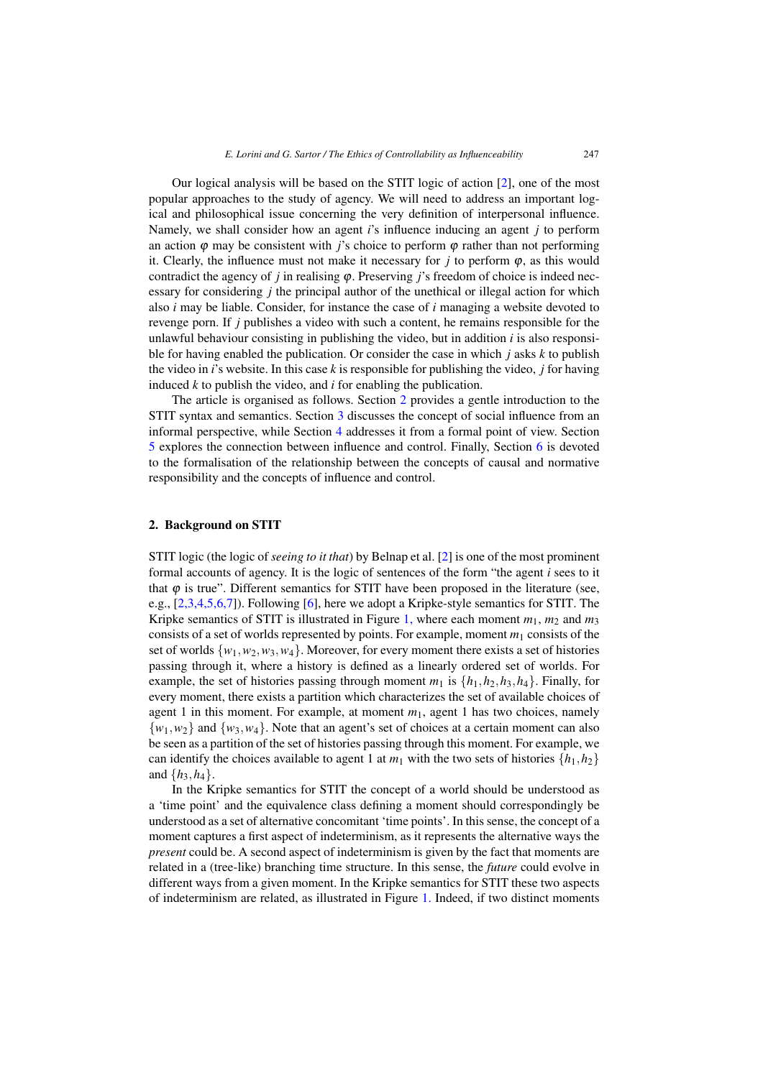<span id="page-2-0"></span>Our logical analysis will be based on the STIT logic of action [\[2\]](#page-9-0), one of the most popular approaches to the study of agency. We will need to address an important logical and philosophical issue concerning the very definition of interpersonal influence. Namely, we shall consider how an agent *i*'s influence inducing an agent *j* to perform an action  $\varphi$  may be consistent with *j*'s choice to perform  $\varphi$  rather than not performing it. Clearly, the influence must not make it necessary for  $j$  to perform  $\varphi$ , as this would contradict the agency of *j* in realising  $\varphi$ . Preserving *j*'s freedom of choice is indeed necessary for considering *j* the principal author of the unethical or illegal action for which also *i* may be liable. Consider, for instance the case of *i* managing a website devoted to revenge porn. If *j* publishes a video with such a content, he remains responsible for the unlawful behaviour consisting in publishing the video, but in addition *i* is also responsible for having enabled the publication. Or consider the case in which *j* asks *k* to publish the video in *i*'s website. In this case *k* is responsible for publishing the video, *j* for having induced *k* to publish the video, and *i* for enabling the publication.

The article is organised as follows. Section 2 provides a gentle introduction to the STIT syntax and semantics. Section [3](#page-4-0) discusses the concept of social influence from an informal perspective, while Section [4](#page-5-0) addresses it from a formal point of view. Section [5](#page-6-0) explores the connection between influence and control. Finally, Section [6](#page-7-0) is devoted to the formalisation of the relationship between the concepts of causal and normative responsibility and the concepts of influence and control.

## 2. Background on STIT

STIT logic (the logic of *seeing to it that*) by Belnap et al. [\[2\]](#page-9-0) is one of the most prominent formal accounts of agency. It is the logic of sentences of the form "the agent *i* sees to it that  $\varphi$  is true". Different semantics for STIT have been proposed in the literature (see, e.g., [\[2,3,4,5,6,7\]](#page-9-0)). Following [\[6\]](#page-9-0), here we adopt a Kripke-style semantics for STIT. The Kripke semantics of STIT is illustrated in Figure [1,](#page-3-0) where each moment  $m_1$ ,  $m_2$  and  $m_3$ consists of a set of worlds represented by points. For example, moment *m*<sup>1</sup> consists of the set of worlds  $\{w_1, w_2, w_3, w_4\}$ . Moreover, for every moment there exists a set of histories passing through it, where a history is defined as a linearly ordered set of worlds. For example, the set of histories passing through moment  $m_1$  is  $\{h_1, h_2, h_3, h_4\}$ . Finally, for every moment, there exists a partition which characterizes the set of available choices of agent 1 in this moment. For example, at moment  $m_1$ , agent 1 has two choices, namely  $\{w_1, w_2\}$  and  $\{w_3, w_4\}$ . Note that an agent's set of choices at a certain moment can also be seen as a partition of the set of histories passing through this moment. For example, we can identify the choices available to agent 1 at  $m_1$  with the two sets of histories  $\{h_1, h_2\}$ and  $\{h_3, h_4\}$ .

In the Kripke semantics for STIT the concept of a world should be understood as a 'time point' and the equivalence class defining a moment should correspondingly be understood as a set of alternative concomitant 'time points'. In this sense, the concept of a moment captures a first aspect of indeterminism, as it represents the alternative ways the *present* could be. A second aspect of indeterminism is given by the fact that moments are related in a (tree-like) branching time structure. In this sense, the *future* could evolve in different ways from a given moment. In the Kripke semantics for STIT these two aspects of indeterminism are related, as illustrated in Figure [1.](#page-3-0) Indeed, if two distinct moments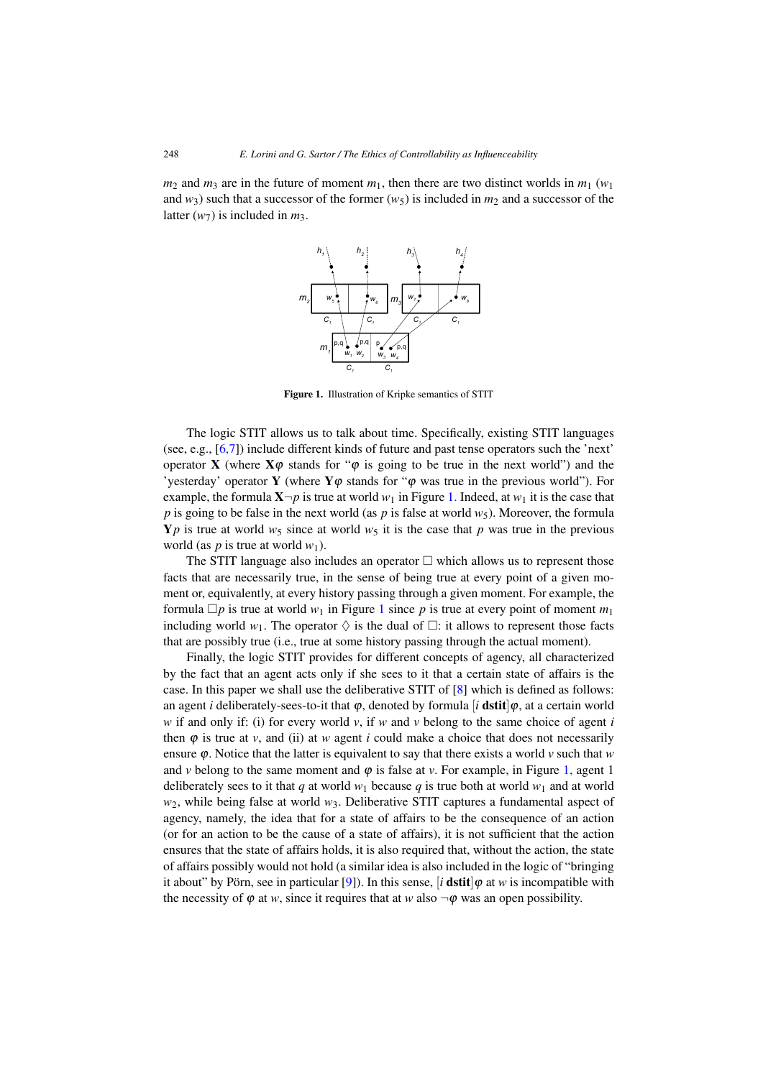<span id="page-3-0"></span> $m_2$  and  $m_3$  are in the future of moment  $m_1$ , then there are two distinct worlds in  $m_1$  ( $w_1$ ) and  $w_3$ ) such that a successor of the former  $(w_5)$  is included in  $m_2$  and a successor of the latter  $(w_7)$  is included in  $m_3$ .



Figure 1. Illustration of Kripke semantics of STIT

The logic STIT allows us to talk about time. Specifically, existing STIT languages (see, e.g., [\[6,7\]](#page-9-0)) include different kinds of future and past tense operators such the 'next' operator **X** (where  $X\varphi$  stands for " $\varphi$  is going to be true in the next world") and the 'yesterday' operator Y (where Y $\varphi$  stands for " $\varphi$  was true in the previous world"). For example, the formula  $X\neg p$  is true at world  $w_1$  in Figure 1. Indeed, at  $w_1$  it is the case that *p* is going to be false in the next world (as *p* is false at world  $w_5$ ). Moreover, the formula  $Yp$  is true at world  $w_5$  since at world  $w_5$  it is the case that p was true in the previous world (as  $p$  is true at world  $w_1$ ).

The STIT language also includes an operator  $\Box$  which allows us to represent those facts that are necessarily true, in the sense of being true at every point of a given moment or, equivalently, at every history passing through a given moment. For example, the formula  $\Box p$  is true at world  $w_1$  in Figure 1 since p is true at every point of moment  $m_1$ including world  $w_1$ . The operator  $\Diamond$  is the dual of  $\Box$ : it allows to represent those facts that are possibly true (i.e., true at some history passing through the actual moment).

Finally, the logic STIT provides for different concepts of agency, all characterized by the fact that an agent acts only if she sees to it that a certain state of affairs is the case. In this paper we shall use the deliberative STIT of [\[8\]](#page-9-0) which is defined as follows: an agent *i* deliberately-sees-to-it that  $\varphi$ , denoted by formula [*i* dstit] $\varphi$ , at a certain world *w* if and only if: (i) for every world *v*, if *w* and *v* belong to the same choice of agent *i* then  $\varphi$  is true at  $\nu$ , and (ii) at  $w$  agent  $i$  could make a choice that does not necessarily ensure  $\varphi$ . Notice that the latter is equivalent to say that there exists a world *v* such that *w* and *v* belong to the same moment and  $\varphi$  is false at *v*. For example, in Figure 1, agent 1 deliberately sees to it that *q* at world  $w_1$  because *q* is true both at world  $w_1$  and at world *w*2, while being false at world *w*3. Deliberative STIT captures a fundamental aspect of agency, namely, the idea that for a state of affairs to be the consequence of an action (or for an action to be the cause of a state of affairs), it is not sufficient that the action ensures that the state of affairs holds, it is also required that, without the action, the state of affairs possibly would not hold (a similar idea is also included in the logic of "bringing it about" by Pörn, see in particular [[9\]](#page-9-0)). In this sense,  $[i \text{ distit}] \varphi$  at *w* is incompatible with the necessity of  $\varphi$  at *w*, since it requires that at *w* also  $\neg \varphi$  was an open possibility.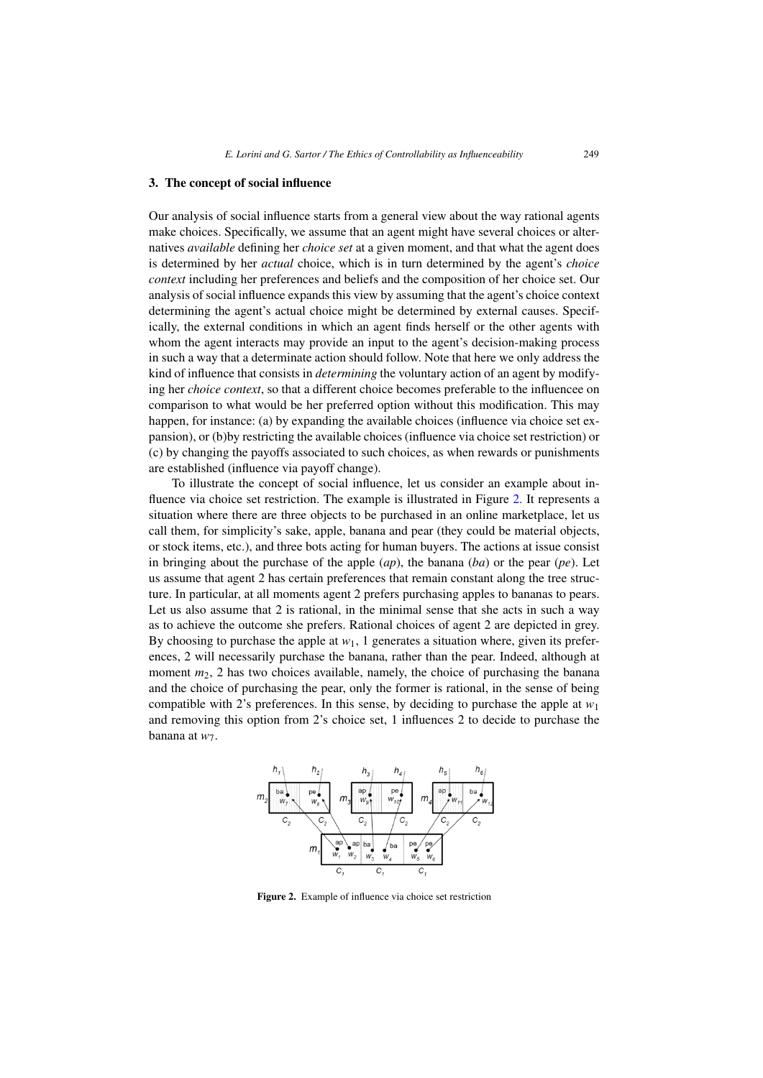## <span id="page-4-0"></span>3. The concept of social influence

Our analysis of social influence starts from a general view about the way rational agents make choices. Specifically, we assume that an agent might have several choices or alternatives *available* defining her *choice set* at a given moment, and that what the agent does is determined by her *actual* choice, which is in turn determined by the agent's *choice context* including her preferences and beliefs and the composition of her choice set. Our analysis of social influence expands this view by assuming that the agent's choice context determining the agent's actual choice might be determined by external causes. Specifically, the external conditions in which an agent finds herself or the other agents with whom the agent interacts may provide an input to the agent's decision-making process in such a way that a determinate action should follow. Note that here we only address the kind of influence that consists in *determining* the voluntary action of an agent by modifying her *choice context*, so that a different choice becomes preferable to the influencee on comparison to what would be her preferred option without this modification. This may happen, for instance: (a) by expanding the available choices (influence via choice set expansion), or (b)by restricting the available choices (influence via choice set restriction) or (c) by changing the payoffs associated to such choices, as when rewards or punishments are established (influence via payoff change).

To illustrate the concept of social influence, let us consider an example about influence via choice set restriction. The example is illustrated in Figure 2. It represents a situation where there are three objects to be purchased in an online marketplace, let us call them, for simplicity's sake, apple, banana and pear (they could be material objects, or stock items, etc.), and three bots acting for human buyers. The actions at issue consist in bringing about the purchase of the apple (*ap*), the banana (*ba*) or the pear (*pe*). Let us assume that agent 2 has certain preferences that remain constant along the tree structure. In particular, at all moments agent 2 prefers purchasing apples to bananas to pears. Let us also assume that  $2$  is rational, in the minimal sense that she acts in such a way as to achieve the outcome she prefers. Rational choices of agent 2 are depicted in grey. By choosing to purchase the apple at  $w_1$ , 1 generates a situation where, given its preferences, 2 will necessarily purchase the banana, rather than the pear. Indeed, although at moment  $m_2$ , 2 has two choices available, namely, the choice of purchasing the banana and the choice of purchasing the pear, only the former is rational, in the sense of being compatible with 2's preferences. In this sense, by deciding to purchase the apple at  $w_1$ and removing this option from 2's choice set, 1 influences 2 to decide to purchase the banana at *w*7.



Figure 2. Example of influence via choice set restriction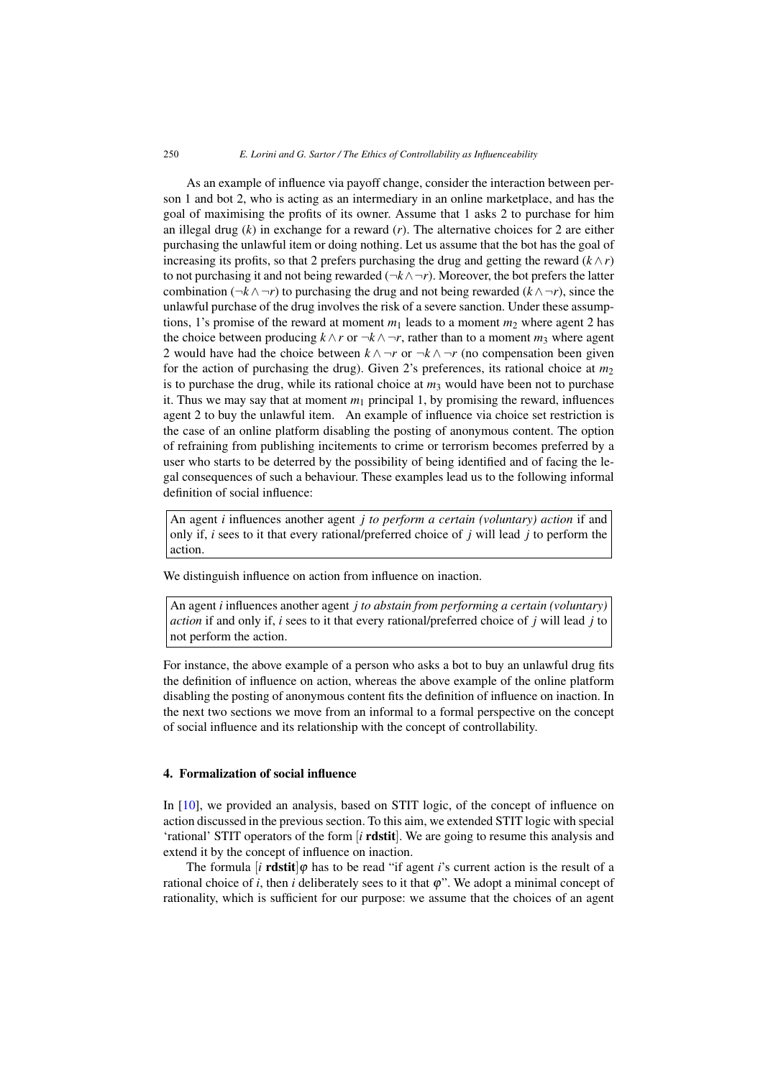<span id="page-5-0"></span>As an example of influence via payoff change, consider the interaction between person 1 and bot 2, who is acting as an intermediary in an online marketplace, and has the goal of maximising the profits of its owner. Assume that 1 asks 2 to purchase for him an illegal drug  $(k)$  in exchange for a reward  $(r)$ . The alternative choices for 2 are either purchasing the unlawful item or doing nothing. Let us assume that the bot has the goal of increasing its profits, so that 2 prefers purchasing the drug and getting the reward  $(k \wedge r)$ to not purchasing it and not being rewarded ( $\neg k \wedge \neg r$ ). Moreover, the bot prefers the latter combination ( $\neg k \wedge \neg r$ ) to purchasing the drug and not being rewarded ( $k \wedge \neg r$ ), since the unlawful purchase of the drug involves the risk of a severe sanction. Under these assumptions, 1's promise of the reward at moment  $m_1$  leads to a moment  $m_2$  where agent 2 has the choice between producing  $k \wedge r$  or  $\neg k \wedge \neg r$ , rather than to a moment  $m_3$  where agent 2 would have had the choice between  $k \wedge \neg r$  or  $\neg k \wedge \neg r$  (no compensation been given for the action of purchasing the drug). Given 2's preferences, its rational choice at *m*<sup>2</sup> is to purchase the drug, while its rational choice at  $m<sub>3</sub>$  would have been not to purchase it. Thus we may say that at moment  $m_1$  principal 1, by promising the reward, influences agent 2 to buy the unlawful item. An example of influence via choice set restriction is the case of an online platform disabling the posting of anonymous content. The option of refraining from publishing incitements to crime or terrorism becomes preferred by a user who starts to be deterred by the possibility of being identified and of facing the legal consequences of such a behaviour. These examples lead us to the following informal definition of social influence:

An agent *i* influences another agent *j to perform a certain (voluntary) action* if and only if, *i* sees to it that every rational/preferred choice of *j* will lead *j* to perform the action.

We distinguish influence on action from influence on inaction.

An agent *i* influences another agent *j to abstain from performing a certain (voluntary) action* if and only if, *i* sees to it that every rational/preferred choice of *j* will lead *j* to not perform the action.

For instance, the above example of a person who asks a bot to buy an unlawful drug fits the definition of influence on action, whereas the above example of the online platform disabling the posting of anonymous content fits the definition of influence on inaction. In the next two sections we move from an informal to a formal perspective on the concept of social influence and its relationship with the concept of controllability.

# 4. Formalization of social influence

In [\[10\]](#page-9-0), we provided an analysis, based on STIT logic, of the concept of influence on action discussed in the previous section. To this aim, we extended STIT logic with special 'rational' STIT operators of the form [*i* rdstit]. We are going to resume this analysis and extend it by the concept of influence on inaction.

The formula  $[i \text{ rdistit}]\varphi$  has to be read "if agent *i*'s current action is the result of a rational choice of  $i$ , then  $i$  deliberately sees to it that  $\varphi$ ". We adopt a minimal concept of rationality, which is sufficient for our purpose: we assume that the choices of an agent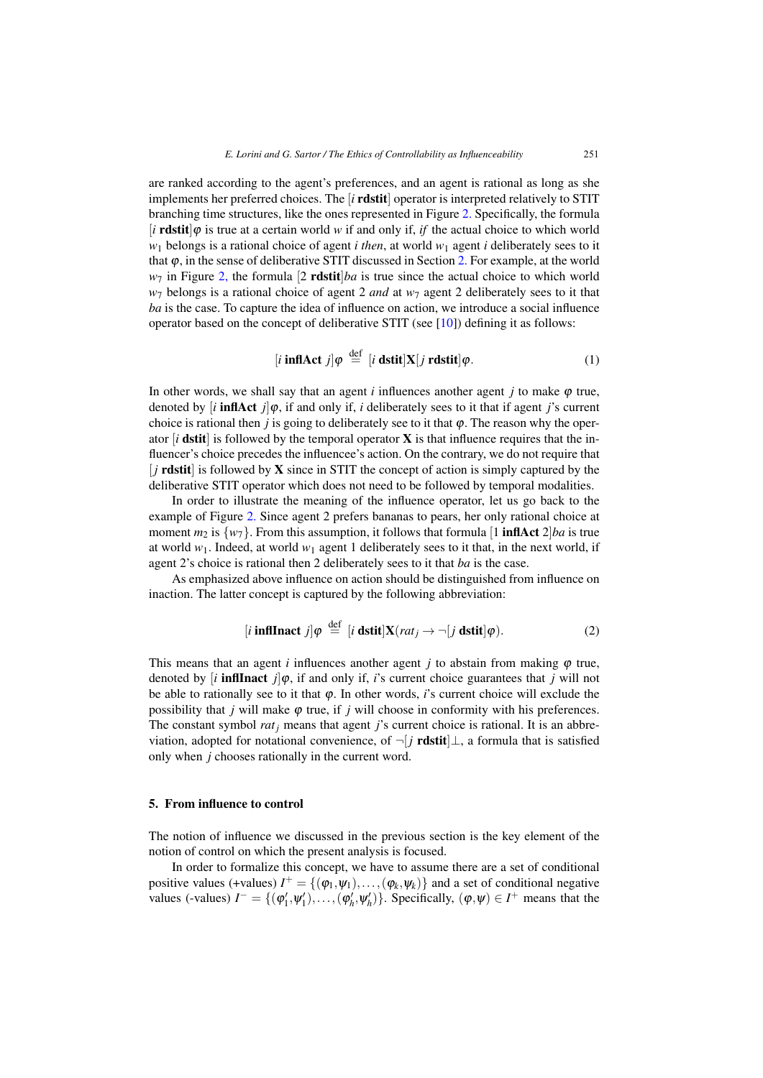<span id="page-6-0"></span>are ranked according to the agent's preferences, and an agent is rational as long as she implements her preferred choices. The [*i* rdstit] operator is interpreted relatively to STIT branching time structures, like the ones represented in Figure [2.](#page-4-0) Specifically, the formula  $[i$  rdstit $\phi$  is true at a certain world *w* if and only if, *if* the actual choice to which world  $w_1$  belongs is a rational choice of agent *i then*, at world  $w_1$  agent *i* deliberately sees to it that  $\varphi$ , in the sense of deliberative STIT discussed in Section [2.](#page-2-0) For example, at the world  $w_7$  in Figure [2,](#page-4-0) the formula [2 **rdstit**]*ba* is true since the actual choice to which world *w*<sub>7</sub> belongs is a rational choice of agent 2 *and* at *w*<sub>7</sub> agent 2 deliberately sees to it that *ba* is the case. To capture the idea of influence on action, we introduce a social influence operator based on the concept of deliberative STIT (see [\[10\]](#page-9-0)) defining it as follows:

$$
[i \text{ inflAct } j] \varphi \stackrel{\text{def}}{=} [i \text{ distit}] \mathbf{X}[j \text{ rdstit}] \varphi. \tag{1}
$$

In other words, we shall say that an agent  $i$  influences another agent  $j$  to make  $\varphi$  true, denoted by  $[i \text{ inf/Act } j] \varphi$ , if and only if, *i* deliberately sees to it that if agent *j*'s current choice is rational then *j* is going to deliberately see to it that  $\varphi$ . The reason why the operator  $\mathbf{i}$  dstit is followed by the temporal operator **X** is that influence requires that the influencer's choice precedes the influencee's action. On the contrary, we do not require that  $j$  rdstit is followed by X since in STIT the concept of action is simply captured by the deliberative STIT operator which does not need to be followed by temporal modalities.

In order to illustrate the meaning of the influence operator, let us go back to the example of Figure [2.](#page-4-0) Since agent 2 prefers bananas to pears, her only rational choice at moment  $m_2$  is  $\{w_7\}$ . From this assumption, it follows that formula [1 **inflAct** 2]*ba* is true at world  $w_1$ . Indeed, at world  $w_1$  agent 1 deliberately sees to it that, in the next world, if agent 2's choice is rational then 2 deliberately sees to it that *ba* is the case.

As emphasized above influence on action should be distinguished from influence on inaction. The latter concept is captured by the following abbreviation:

$$
[i \text{ inflInact } j] \varphi \stackrel{\text{def}}{=} [i \text{ distit}] \mathbf{X}(rat_j \to \neg [j \text{ distit}] \varphi).
$$
 (2)

This means that an agent *i* influences another agent *j* to abstain from making  $\varphi$  true, denoted by  $\overrightarrow{u}$  inflinact  $\overrightarrow{f}|\varphi$ , if and only if, *i*'s current choice guarantees that *j* will not be able to rationally see to it that  $\varphi$ . In other words, *i*'s current choice will exclude the possibility that *j* will make  $\varphi$  true, if *j* will choose in conformity with his preferences. The constant symbol *ratj* means that agent *j*'s current choice is rational. It is an abbreviation, adopted for notational convenience, of  $\neg$ [ *j* **rdstit**] $\bot$ , a formula that is satisfied only when *j* chooses rationally in the current word.

#### 5. From influence to control

The notion of influence we discussed in the previous section is the key element of the notion of control on which the present analysis is focused.

In order to formalize this concept, we have to assume there are a set of conditional positive values (+values)  $I^+ = \{(\varphi_1, \psi_1), \ldots, (\varphi_k, \psi_k)\}\$ and a set of conditional negative values (-values)  $I^- = \{(\varphi'_1, \psi'_1), \ldots, (\varphi'_h, \psi'_h)\}\$ . Specifically,  $(\varphi, \psi) \in I^+$  means that the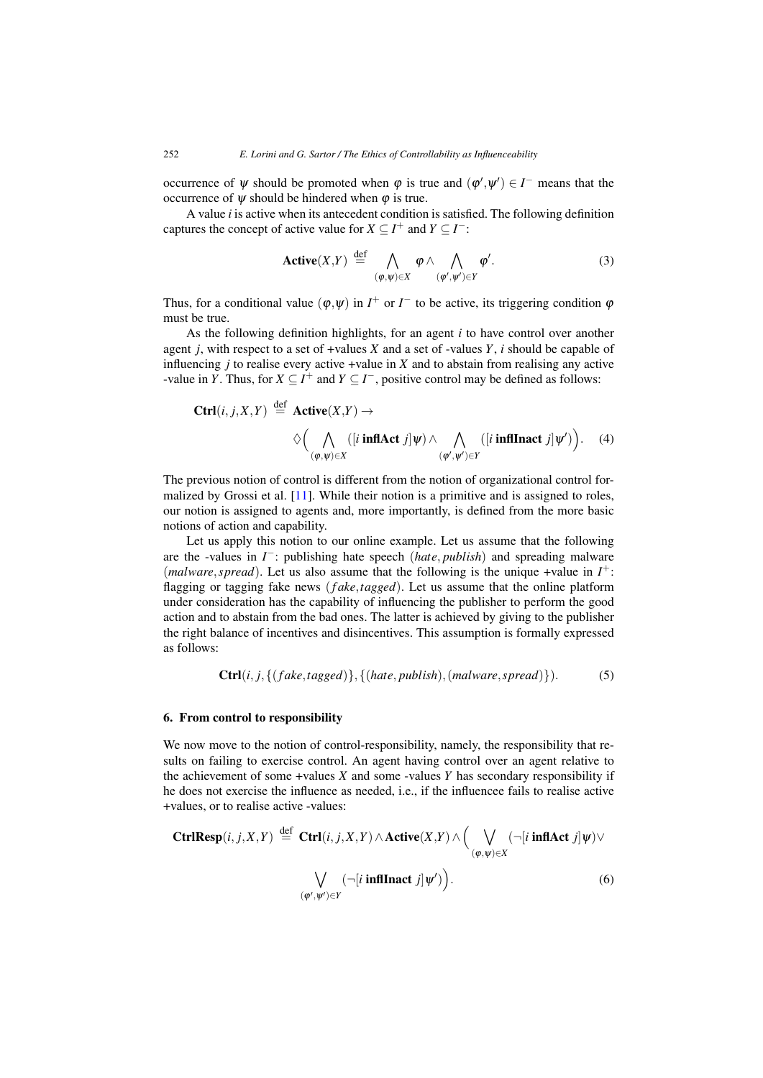<span id="page-7-0"></span>occurrence of  $\psi$  should be promoted when  $\varphi$  is true and  $(\varphi', \psi') \in I^-$  means that the occurrence of  $\psi$  should be hindered when  $\varphi$  is true.

A value *i* is active when its antecedent condition is satisfied. The following definition captures the concept of active value for  $X \subseteq I^+$  and  $Y \subseteq I^-$ :

$$
\mathbf{Active}(X,Y) \stackrel{\text{def}}{=} \bigwedge_{(\varphi,\psi)\in X} \varphi \land \bigwedge_{(\varphi',\psi')\in Y} \varphi'.
$$
 (3)

Thus, for a conditional value  $(\varphi, \psi)$  in  $I^+$  or  $I^-$  to be active, its triggering condition  $\varphi$ must be true.

As the following definition highlights, for an agent *i* to have control over another agent *j*, with respect to a set of +values *X* and a set of -values *Y*, *i* should be capable of influencing *j* to realise every active +value in *X* and to abstain from realising any active -value in *Y*. Thus, for  $X \subseteq I^+$  and  $Y \subseteq I^-$ , positive control may be defined as follows:

$$
\mathbf{Ctrl}(i, j, X, Y) \stackrel{\text{def}}{=} \mathbf{Active}(X, Y) \to
$$
  

$$
\diamondsuit \Big( \bigwedge_{(\varphi, \psi) \in X} ([i \text{ inflAct } j] \psi) \wedge \bigwedge_{(\varphi', \psi') \in Y} ([i \text{ inflInact } j] \psi') \Big).
$$
 (4)

The previous notion of control is different from the notion of organizational control formalized by Grossi et al. [\[11\]](#page-9-0). While their notion is a primitive and is assigned to roles, our notion is assigned to agents and, more importantly, is defined from the more basic notions of action and capability.

Let us apply this notion to our online example. Let us assume that the following are the -values in *I*−: publishing hate speech (*hate*, *publish*) and spreading malware (*malware*,*spread*). Let us also assume that the following is the unique +value in *I*+: flagging or tagging fake news (*f ake*,*tagged*). Let us assume that the online platform under consideration has the capability of influencing the publisher to perform the good action and to abstain from the bad ones. The latter is achieved by giving to the publisher the right balance of incentives and disincentives. This assumption is formally expressed as follows:

$$
Ctrl(i, j, \{(fake, tagged)\}, \{(hate, publish), (malware, spread)\}).
$$
 (5)

## 6. From control to responsibility

We now move to the notion of control-responsibility, namely, the responsibility that results on failing to exercise control. An agent having control over an agent relative to the achievement of some +values  $X$  and some -values  $Y$  has secondary responsibility if he does not exercise the influence as needed, i.e., if the influencee fails to realise active +values, or to realise active -values:

$$
\text{CtrlResp}(i, j, X, Y) \stackrel{\text{def}}{=} \text{Ctrl}(i, j, X, Y) \wedge \text{Active}(X, Y) \wedge \Big( \bigvee_{(\varphi, \psi) \in X} (\neg[i \text{ inflAct } j] \psi) \vee
$$
  

$$
\bigvee_{(\varphi', \psi') \in Y} (\neg[i \text{ inflInact } j] \psi')\Big).
$$
 (6)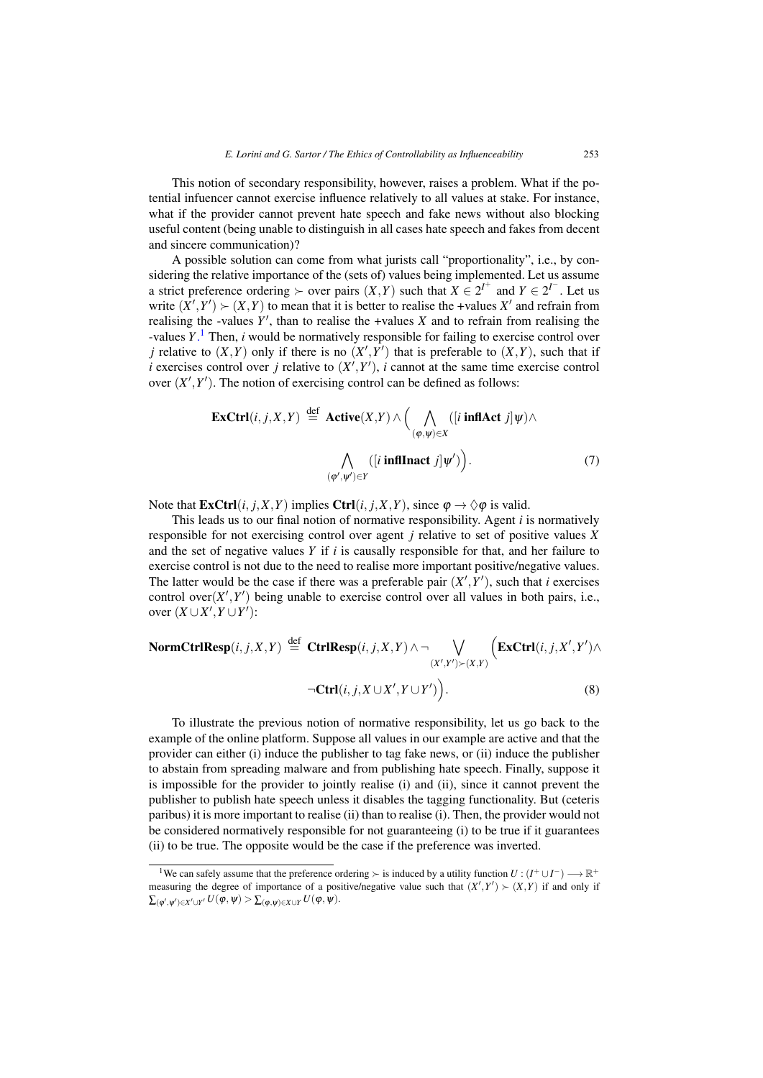This notion of secondary responsibility, however, raises a problem. What if the potential infuencer cannot exercise influence relatively to all values at stake. For instance, what if the provider cannot prevent hate speech and fake news without also blocking useful content (being unable to distinguish in all cases hate speech and fakes from decent and sincere communication)?

A possible solution can come from what jurists call "proportionality", i.e., by considering the relative importance of the (sets of) values being implemented. Let us assume a strict preference ordering  $\succ$  over pairs  $(X,Y)$  such that  $X \in 2^{I^+}$  and  $Y \in 2^{I^-}$ . Let us write  $(X', Y') \succ (X, Y)$  to mean that it is better to realise the +values  $X'$  and refrain from realising the -values  $Y'$ , than to realise the +values  $X$  and to refrain from realising the -values  $Y$ .<sup>1</sup> Then, *i* would be normatively responsible for failing to exercise control over *j* relative to  $(X, Y)$  only if there is no  $(X', Y')$  that is preferable to  $(X, Y)$ , such that if *i* exercises control over *j* relative to  $(X', Y')$ , *i* cannot at the same time exercise control over  $(X', Y')$ . The notion of exercising control can be defined as follows:

$$
\begin{aligned} \n\text{ExCtrl}(i, j, X, Y) & \stackrel{\text{def}}{=} \text{Active}(X, Y) \land \Big( \bigwedge_{(\varphi, \psi) \in X} ([i \text{ inflAct } j] \psi) \land \\ \n\bigwedge_{(\varphi', \psi') \in Y} ([i \text{ inflInact } j] \psi') \Big). \n\end{aligned} \tag{7}
$$

Note that  $\text{ExCtrl}(i, j, X, Y)$  implies  $\text{Ctrl}(i, j, X, Y)$ , since  $\varphi \to \Diamond \varphi$  is valid.

This leads us to our final notion of normative responsibility. Agent *i* is normatively responsible for not exercising control over agent *j* relative to set of positive values *X* and the set of negative values  $Y$  if  $i$  is causally responsible for that, and her failure to exercise control is not due to the need to realise more important positive/negative values. The latter would be the case if there was a preferable pair  $(X', Y')$ , such that *i* exercises control over $(X', Y')$  being unable to exercise control over all values in both pairs, i.e., over  $(X \cup X', Y \cup Y')$ :

$$
\text{NormCtrlResp}(i, j, X, Y) \stackrel{\text{def}}{=} \text{CtrlResp}(i, j, X, Y) \land \neg \bigvee_{(X', Y') \succ (X, Y)} \Big( \text{ExCtrl}(i, j, X', Y') \land \neg \text{Ctrl}(i, j, X \cup X', Y \cup Y') \Big). \tag{8}
$$

To illustrate the previous notion of normative responsibility, let us go back to the example of the online platform. Suppose all values in our example are active and that the provider can either (i) induce the publisher to tag fake news, or (ii) induce the publisher to abstain from spreading malware and from publishing hate speech. Finally, suppose it is impossible for the provider to jointly realise (i) and (ii), since it cannot prevent the publisher to publish hate speech unless it disables the tagging functionality. But (ceteris paribus) it is more important to realise (ii) than to realise (i). Then, the provider would not be considered normatively responsible for not guaranteeing (i) to be true if it guarantees (ii) to be true. The opposite would be the case if the preference was inverted.

<sup>&</sup>lt;sup>1</sup>We can safely assume that the preference ordering  $\succ$  is induced by a utility function *U* :  $(I^+ \cup I^-) \longrightarrow \mathbb{R}^+$ measuring the degree of importance of a positive/negative value such that  $(X', Y') \succ (X, Y)$  if and only if  $\sum_{(\varphi',\psi')\in X'\cup Y'} U(\varphi,\psi) > \sum_{(\varphi,\psi)\in X\cup Y} U(\varphi,\psi).$